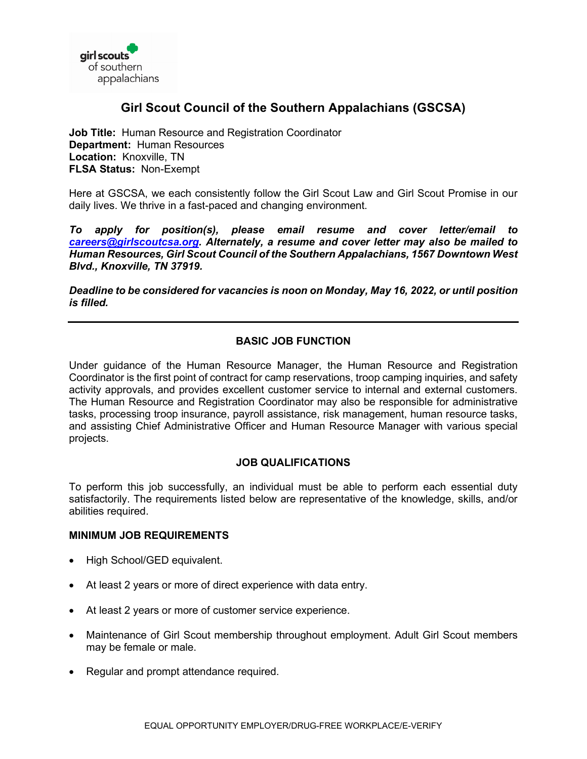

# **Girl Scout Council of the Southern Appalachians (GSCSA)**

**Job Title:** Human Resource and Registration Coordinator **Department:** Human Resources **Location:** Knoxville, TN **FLSA Status:** Non-Exempt

Here at GSCSA, we each consistently follow the Girl Scout Law and Girl Scout Promise in our daily lives. We thrive in a fast-paced and changing environment.

*To apply for position(s), please email resume and cover letter/email to [careers@girlscoutcsa.org.](mailto:careers@girlscoutcsa.org) Alternately, a resume and cover letter may also be mailed to Human Resources, Girl Scout Council of the Southern Appalachians, 1567 Downtown West Blvd., Knoxville, TN 37919.* 

*Deadline to be considered for vacancies is noon on Monday, May 16, 2022, or until position is filled.*

## **BASIC JOB FUNCTION**

Under guidance of the Human Resource Manager, the Human Resource and Registration Coordinator is the first point of contract for camp reservations, troop camping inquiries, and safety activity approvals, and provides excellent customer service to internal and external customers. The Human Resource and Registration Coordinator may also be responsible for administrative tasks, processing troop insurance, payroll assistance, risk management, human resource tasks, and assisting Chief Administrative Officer and Human Resource Manager with various special projects.

## **JOB QUALIFICATIONS**

To perform this job successfully, an individual must be able to perform each essential duty satisfactorily. The requirements listed below are representative of the knowledge, skills, and/or abilities required.

#### **MINIMUM JOB REQUIREMENTS**

- High School/GED equivalent.
- At least 2 years or more of direct experience with data entry.
- At least 2 years or more of customer service experience.
- Maintenance of Girl Scout membership throughout employment. Adult Girl Scout members may be female or male.
- Regular and prompt attendance required.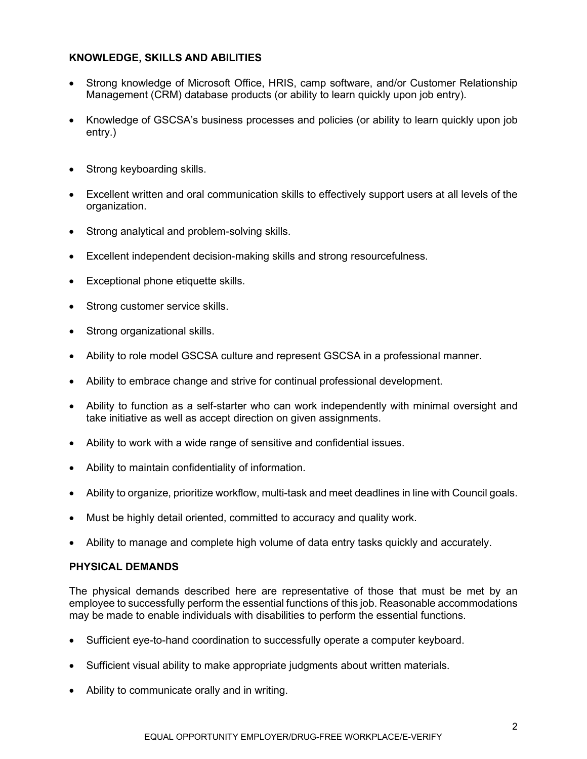## **KNOWLEDGE, SKILLS AND ABILITIES**

- Strong knowledge of Microsoft Office, HRIS, camp software, and/or Customer Relationship Management (CRM) database products (or ability to learn quickly upon job entry).
- Knowledge of GSCSA's business processes and policies (or ability to learn quickly upon job entry.)
- Strong keyboarding skills.
- Excellent written and oral communication skills to effectively support users at all levels of the organization.
- Strong analytical and problem-solving skills.
- Excellent independent decision-making skills and strong resourcefulness.
- Exceptional phone etiquette skills.
- Strong customer service skills.
- Strong organizational skills.
- Ability to role model GSCSA culture and represent GSCSA in a professional manner.
- Ability to embrace change and strive for continual professional development.
- Ability to function as a self-starter who can work independently with minimal oversight and take initiative as well as accept direction on given assignments.
- Ability to work with a wide range of sensitive and confidential issues.
- Ability to maintain confidentiality of information.
- Ability to organize, prioritize workflow, multi-task and meet deadlines in line with Council goals.
- Must be highly detail oriented, committed to accuracy and quality work.
- Ability to manage and complete high volume of data entry tasks quickly and accurately.

#### **PHYSICAL DEMANDS**

The physical demands described here are representative of those that must be met by an employee to successfully perform the essential functions of this job. Reasonable accommodations may be made to enable individuals with disabilities to perform the essential functions.

- Sufficient eye-to-hand coordination to successfully operate a computer keyboard.
- Sufficient visual ability to make appropriate judgments about written materials.
- Ability to communicate orally and in writing.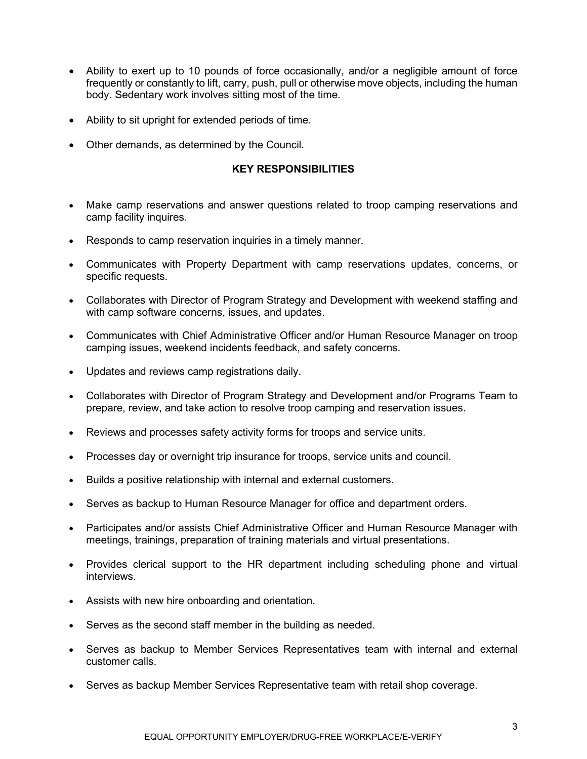- Ability to exert up to 10 pounds of force occasionally, and/or a negligible amount of force frequently or constantly to lift, carry, push, pull or otherwise move objects, including the human body. Sedentary work involves sitting most of the time.
- Ability to sit upright for extended periods of time.
- Other demands, as determined by the Council.

#### **KEY RESPONSIBILITIES**

- Make camp reservations and answer questions related to troop camping reservations and camp facility inquires.
- Responds to camp reservation inquiries in a timely manner.
- Communicates with Property Department with camp reservations updates, concerns, or specific requests.
- Collaborates with Director of Program Strategy and Development with weekend staffing and with camp software concerns, issues, and updates.
- Communicates with Chief Administrative Officer and/or Human Resource Manager on troop camping issues, weekend incidents feedback, and safety concerns.
- Updates and reviews camp registrations daily.
- Collaborates with Director of Program Strategy and Development and/or Programs Team to prepare, review, and take action to resolve troop camping and reservation issues.
- Reviews and processes safety activity forms for troops and service units.
- Processes day or overnight trip insurance for troops, service units and council.
- Builds a positive relationship with internal and external customers.
- Serves as backup to Human Resource Manager for office and department orders.
- Participates and/or assists Chief Administrative Officer and Human Resource Manager with meetings, trainings, preparation of training materials and virtual presentations.
- Provides clerical support to the HR department including scheduling phone and virtual interviews.
- Assists with new hire onboarding and orientation.
- Serves as the second staff member in the building as needed.
- Serves as backup to Member Services Representatives team with internal and external customer calls.
- Serves as backup Member Services Representative team with retail shop coverage.